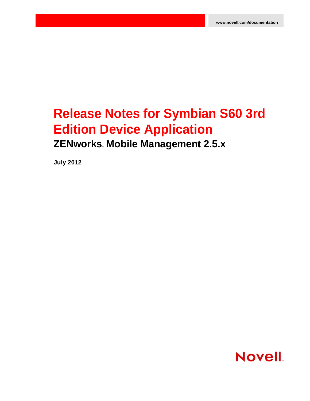## **Release Notes for Symbian S60 3rd Edition Device Application ZENworks. Mobile Management 2.5.x**

**July 2012**

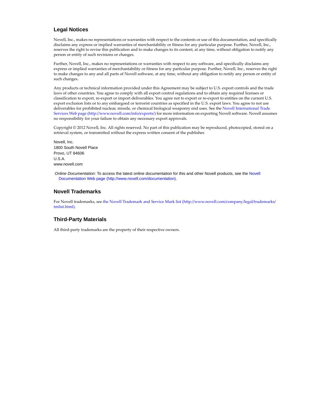### **Legal Notices**

Novell, Inc., makes no representations or warranties with respect to the contents or use of this documentation, and specifically disclaims any express or implied warranties of merchantability or fitness for any particular purpose. Further, Novell, Inc., reserves the right to revise this publication and to make changes to its content, at any time, without obligation to notify any person or entity of such revisions or changes.

Further, Novell, Inc., makes no representations or warranties with respect to any software, and specifically disclaims any express or implied warranties of merchantability or fitness for any particular purpose. Further, Novell, Inc., reserves the right to make changes to any and all parts of Novell software, at any time, without any obligation to notify any person or entity of such changes.

Any products or technical information provided under this Agreement may be subject to U.S. export controls and the trade laws of other countries. You agree to comply with all export control regulations and to obtain any required licenses or classification to export, re-export or import deliverables. You agree not to export or re-export to entities on the current U.S. export exclusion lists or to any embargoed or terrorist countries as specified in the U.S. export laws. You agree to not use deliverables for prohibited nuclear, missile, or chemical biological weaponry end uses. See the [Novell International Trade](http://www.novell.com/info/exports/)  [Services Web page](http://www.novell.com/info/exports/) (http://www.novell.com/info/exports/) for more information on exporting Novell software. Novell assumes no responsibility for your failure to obtain any necessary export approvals.

Copyright © 2012 Novell, Inc. All rights reserved. No part of this publication may be reproduced, photocopied, stored on a retrieval system, or transmitted without the express written consent of the publisher.

Novell, Inc. 1800 South Novell Place Provo, UT 84606 U.S.A. www.novell.com

*Online Documentation:* To access the latest online documentation for this and other Novell products, see the [Novell](http://www.novell.com/documentation)  [Documentation Web page](http://www.novell.com/documentation) (http://www.novell.com/documentation).

#### **Novell Trademarks**

For Novell trademarks, see [the Novell Trademark and Service Mark list](http://www.novell.com/company/legal/trademarks/tmlist.html) (http://www.novell.com/company/legal/trademarks/ tmlist.html).

#### **Third-Party Materials**

All third-party trademarks are the property of their respective owners.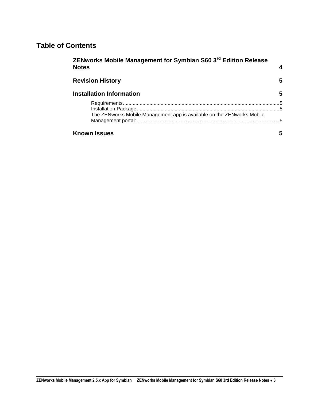### **Table of Contents**

| ZENworks Mobile Management for Symbian S60 3rd Edition Release<br><b>Notes</b> |   |
|--------------------------------------------------------------------------------|---|
| <b>Revision History</b>                                                        | 5 |
| <b>Installation Information</b>                                                | 5 |
| The ZENworks Mobile Management app is available on the ZENworks Mobile         |   |
| <b>Known Issues</b>                                                            | 5 |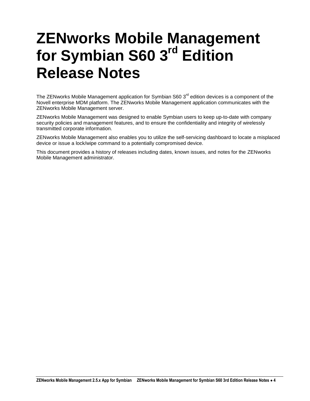# <span id="page-3-0"></span>**ZENworks Mobile Management for Symbian S60 3rd Edition Release Notes**

The ZENworks Mobile Management application for Symbian S60 3<sup>rd</sup> edition devices is a component of the Novell enterprise MDM platform. The ZENworks Mobile Management application communicates with the ZENworks Mobile Management server.

ZENworks Mobile Management was designed to enable Symbian users to keep up-to-date with company security policies and management features, and to ensure the confidentiality and integrity of wirelessly transmitted corporate information.

ZENworks Mobile Management also enables you to utilize the self-servicing dashboard to locate a misplaced device or issue a lock/wipe command to a potentially compromised device.

This document provides a history of releases including dates, known issues, and notes for the ZENworks Mobile Management administrator.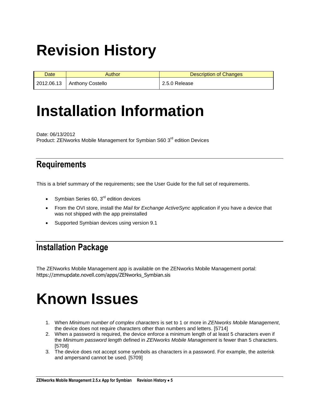# <span id="page-4-0"></span>**Revision History**

| Date       | Author                  | Description of Changes |
|------------|-------------------------|------------------------|
| 2012.06.13 | <b>Anthony Costello</b> | l 2.5.0 Release        |

# <span id="page-4-1"></span>**Installation Information**

Date: 06/13/2012 Product: ZENworks Mobile Management for Symbian S60 3<sup>rd</sup> edition Devices

### <span id="page-4-2"></span>**Requirements**

This is a brief summary of the requirements; see the User Guide for the full set of requirements.

- Symbian Series 60, 3<sup>rd</sup> edition devices
- From the OVI store, install the *Mail for Exchange ActiveSync* application if you have a device that was not shipped with the app preinstalled
- Supported Symbian devices using version 9.1

## <span id="page-4-3"></span>**Installation Package**

<span id="page-4-5"></span><span id="page-4-4"></span>The ZENworks Mobile Management app is available on the ZENworks Mobile Management portal: https://zmmupdate.novell.com/apps/ZENworks\_Symbian.sis

## **Known Issues**

- 1. When *Minimum number of complex characters* is set to 1 or more in *ZENworks Mobile Management*, the device does not require characters other than numbers and letters. [5714]
- 2. When a password is required, the device enforce a minimum length of at least 5 characters even if the *Minimum password length* defined in *ZENworks Mobile Management* is fewer than 5 characters. [5708]
- 3. The device does not accept some symbols as characters in a password. For example, the asterisk and ampersand cannot be used. [5709]